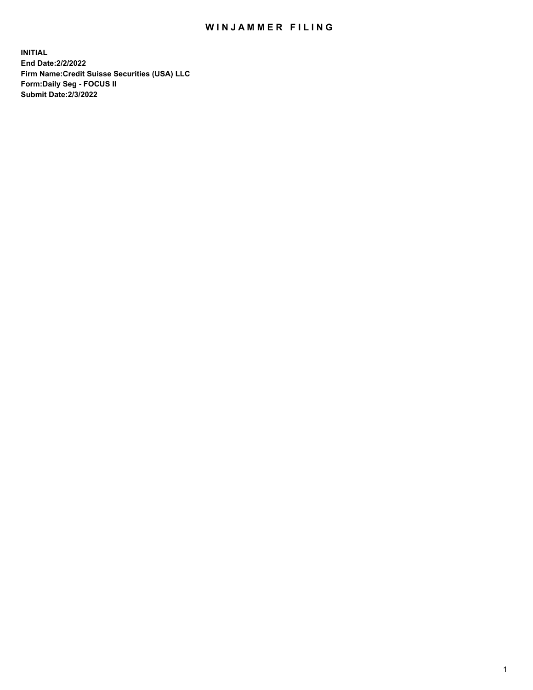### WIN JAMMER FILING

**INITIAL End Date:2/2/2022 Firm Name:Credit Suisse Securities (USA) LLC Form:Daily Seg - FOCUS II Submit Date:2/3/2022**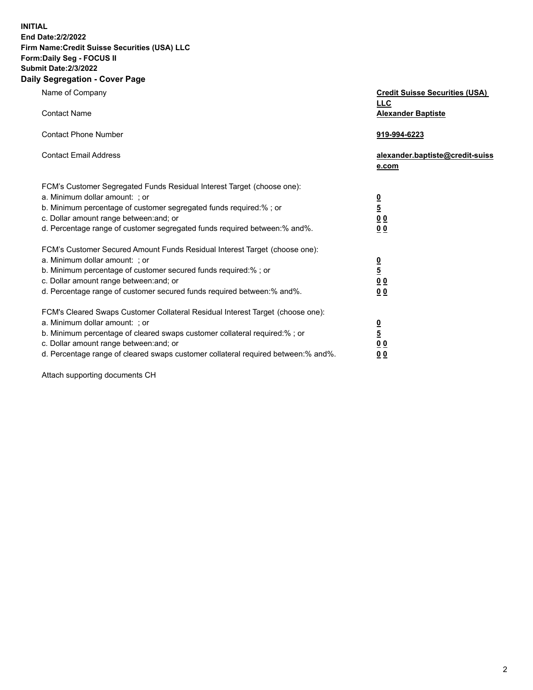**INITIAL** 

### **End Date:2/2/2022**

# **Firm Name:Credit Suisse Securities (USA) LLC Form:Daily Seg - FOCUS II**

## **Submit Date:2/3/2022**

### **Daily Segregation - Cover Page**

| Name of Company                                                                                                                                                                                                                                                                                                                | <b>Credit Suisse Securities (USA)</b><br><b>LLC</b>    |
|--------------------------------------------------------------------------------------------------------------------------------------------------------------------------------------------------------------------------------------------------------------------------------------------------------------------------------|--------------------------------------------------------|
| <b>Contact Name</b>                                                                                                                                                                                                                                                                                                            | <b>Alexander Baptiste</b>                              |
| <b>Contact Phone Number</b>                                                                                                                                                                                                                                                                                                    | 919-994-6223                                           |
| <b>Contact Email Address</b>                                                                                                                                                                                                                                                                                                   | alexander.baptiste@credit-suiss<br>e.com               |
| FCM's Customer Segregated Funds Residual Interest Target (choose one):<br>a. Minimum dollar amount: ; or<br>b. Minimum percentage of customer segregated funds required:% ; or<br>c. Dollar amount range between: and; or<br>d. Percentage range of customer segregated funds required between:% and%.                         | $\frac{0}{5}$<br>$\underline{0}$ $\underline{0}$<br>00 |
| FCM's Customer Secured Amount Funds Residual Interest Target (choose one):<br>a. Minimum dollar amount: ; or<br>b. Minimum percentage of customer secured funds required:% ; or<br>c. Dollar amount range between: and; or<br>d. Percentage range of customer secured funds required between:% and%.                           | $\frac{0}{5}$<br>0 <sub>0</sub><br>00                  |
| FCM's Cleared Swaps Customer Collateral Residual Interest Target (choose one):<br>a. Minimum dollar amount: ; or<br>b. Minimum percentage of cleared swaps customer collateral required:% ; or<br>c. Dollar amount range between: and; or<br>d. Percentage range of cleared swaps customer collateral required between:% and%. | $\frac{0}{5}$<br>00<br>0 <sub>0</sub>                  |

Attach supporting documents CH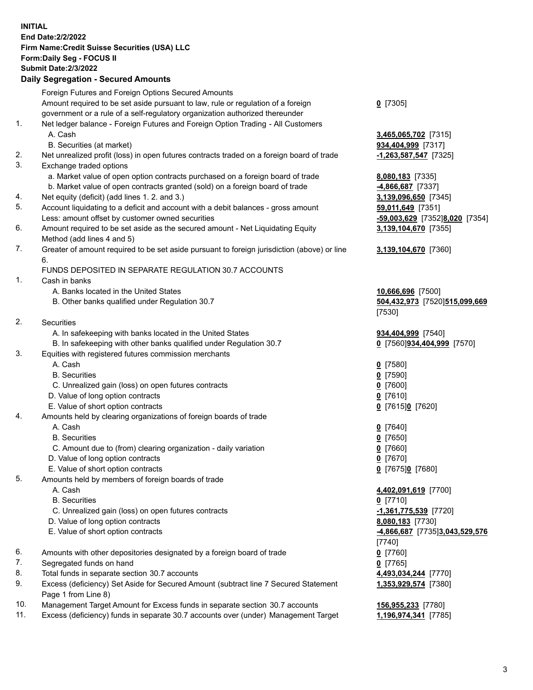**INITIAL End Date:2/2/2022 Firm Name:Credit Suisse Securities (USA) LLC Form:Daily Seg - FOCUS II Submit Date:2/3/2022** 

#### **Daily Segregation - Secured Amounts**

|     | Foreign Futures and Foreign Options Secured Amounts                                         |                                |
|-----|---------------------------------------------------------------------------------------------|--------------------------------|
|     | Amount required to be set aside pursuant to law, rule or regulation of a foreign            | $0$ [7305]                     |
|     | government or a rule of a self-regulatory organization authorized thereunder                |                                |
| 1.  | Net ledger balance - Foreign Futures and Foreign Option Trading - All Customers             |                                |
|     | A. Cash                                                                                     | 3,465,065,702 [7315]           |
|     | B. Securities (at market)                                                                   | 934,404,999 [7317]             |
| 2.  | Net unrealized profit (loss) in open futures contracts traded on a foreign board of trade   | -1,263,587,547 [7325]          |
| 3.  | Exchange traded options                                                                     |                                |
|     | a. Market value of open option contracts purchased on a foreign board of trade              | 8,080,183 [7335]               |
|     | b. Market value of open contracts granted (sold) on a foreign board of trade                | 4,866,687 [7337]               |
| 4.  | Net equity (deficit) (add lines 1. 2. and 3.)                                               | 3,139,096,650 [7345]           |
| 5.  | Account liquidating to a deficit and account with a debit balances - gross amount           | 59,011,649 [7351]              |
|     | Less: amount offset by customer owned securities                                            | -59,003,629 [7352]8,020 [7354] |
| 6.  | Amount required to be set aside as the secured amount - Net Liquidating Equity              | 3,139,104,670 [7355]           |
|     | Method (add lines 4 and 5)                                                                  |                                |
| 7.  | Greater of amount required to be set aside pursuant to foreign jurisdiction (above) or line |                                |
|     |                                                                                             | 3,139,104,670 [7360]           |
|     | 6.                                                                                          |                                |
|     | FUNDS DEPOSITED IN SEPARATE REGULATION 30.7 ACCOUNTS                                        |                                |
| 1.  | Cash in banks                                                                               |                                |
|     | A. Banks located in the United States                                                       | 10,666,696 [7500]              |
|     | B. Other banks qualified under Regulation 30.7                                              | 504,432,973 [7520]515,099,669  |
|     |                                                                                             | [7530]                         |
| 2.  | Securities                                                                                  |                                |
|     | A. In safekeeping with banks located in the United States                                   | 934,404,999 [7540]             |
|     | B. In safekeeping with other banks qualified under Regulation 30.7                          | 0 [7560]934,404,999 [7570]     |
| 3.  | Equities with registered futures commission merchants                                       |                                |
|     | A. Cash                                                                                     | $0$ [7580]                     |
|     | <b>B.</b> Securities                                                                        | $0$ [7590]                     |
|     | C. Unrealized gain (loss) on open futures contracts                                         | $0$ [7600]                     |
|     | D. Value of long option contracts                                                           | $0$ [7610]                     |
|     | E. Value of short option contracts                                                          | 0 [7615]0 [7620]               |
| 4.  | Amounts held by clearing organizations of foreign boards of trade                           |                                |
|     | A. Cash                                                                                     | $0$ [7640]                     |
|     | <b>B.</b> Securities                                                                        | $0$ [7650]                     |
|     | C. Amount due to (from) clearing organization - daily variation                             | $0^{[7660]}$                   |
|     | D. Value of long option contracts                                                           | $0$ [7670]                     |
|     | E. Value of short option contracts                                                          | 0 [7675]0 [7680]               |
| 5.  | Amounts held by members of foreign boards of trade                                          |                                |
|     | A. Cash                                                                                     | 4,402,091,619 [7700]           |
|     | <b>B.</b> Securities                                                                        | $0$ [7710]                     |
|     | C. Unrealized gain (loss) on open futures contracts                                         | -1,361,775,539 [7720]          |
|     | D. Value of long option contracts                                                           | 8,080,183 [7730]               |
|     | E. Value of short option contracts                                                          | 4,866,687 [7735]3,043,529,576  |
|     |                                                                                             | [7740]                         |
| 6.  | Amounts with other depositories designated by a foreign board of trade                      | $0$ [7760]                     |
| 7.  | Segregated funds on hand                                                                    | $0$ [7765]                     |
| 8.  | Total funds in separate section 30.7 accounts                                               | 4,493,034,244 [7770]           |
| 9.  | Excess (deficiency) Set Aside for Secured Amount (subtract line 7 Secured Statement         | 1,353,929,574 [7380]           |
|     | Page 1 from Line 8)                                                                         |                                |
| 10. | Management Target Amount for Excess funds in separate section 30.7 accounts                 | 156,955,233 [7780]             |
| 11. | Excess (deficiency) funds in separate 30.7 accounts over (under) Management Target          | 1,196,974,341 [7785]           |
|     |                                                                                             |                                |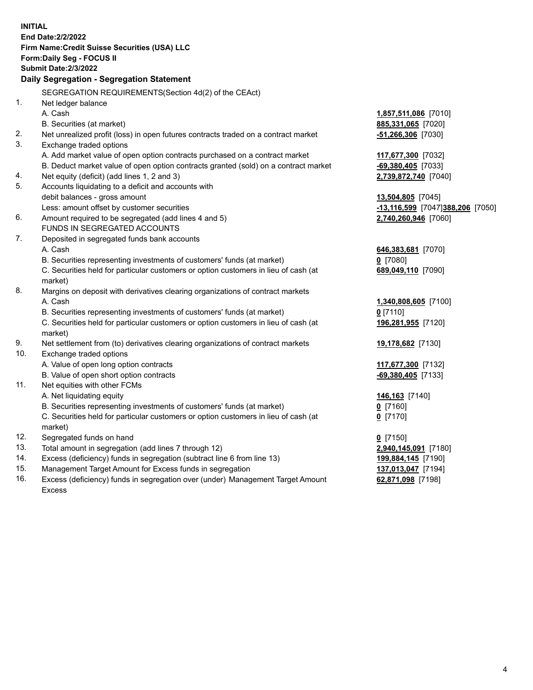| <b>INITIAL</b> |                                                                                     |                                  |
|----------------|-------------------------------------------------------------------------------------|----------------------------------|
|                | End Date: 2/2/2022                                                                  |                                  |
|                | Firm Name: Credit Suisse Securities (USA) LLC                                       |                                  |
|                | Form: Daily Seg - FOCUS II                                                          |                                  |
|                | <b>Submit Date:2/3/2022</b>                                                         |                                  |
|                | Daily Segregation - Segregation Statement                                           |                                  |
|                | SEGREGATION REQUIREMENTS(Section 4d(2) of the CEAct)                                |                                  |
| 1.             | Net ledger balance                                                                  |                                  |
|                | A. Cash                                                                             | 1,857,511,086 [7010]             |
|                | B. Securities (at market)                                                           | 885,331,065 [7020]               |
| 2.             | Net unrealized profit (loss) in open futures contracts traded on a contract market  | $-51,266,306$ [7030]             |
| 3.             | Exchange traded options                                                             |                                  |
|                | A. Add market value of open option contracts purchased on a contract market         | 117,677,300 [7032]               |
|                | B. Deduct market value of open option contracts granted (sold) on a contract market | $-69,380,405$ [7033]             |
| 4.             | Net equity (deficit) (add lines 1, 2 and 3)                                         | 2,739,872,740 [7040]             |
| 5.             | Accounts liquidating to a deficit and accounts with                                 |                                  |
|                | debit balances - gross amount                                                       | <b>13,504,805</b> [7045]         |
|                | Less: amount offset by customer securities                                          | -13,116,599 [7047]388,206 [7050] |
| 6.             | Amount required to be segregated (add lines 4 and 5)                                | 2,740,260,946 [7060]             |
|                | FUNDS IN SEGREGATED ACCOUNTS                                                        |                                  |
| 7.             | Deposited in segregated funds bank accounts                                         |                                  |
|                | A. Cash                                                                             | 646,383,681 [7070]               |
|                | B. Securities representing investments of customers' funds (at market)              | $0$ [7080]                       |
|                | C. Securities held for particular customers or option customers in lieu of cash (at | 689,049,110 [7090]               |
|                | market)                                                                             |                                  |
| 8.             | Margins on deposit with derivatives clearing organizations of contract markets      |                                  |
|                | A. Cash                                                                             | 1,340,808,605 [7100]             |
|                | B. Securities representing investments of customers' funds (at market)              | $0$ [7110]                       |
|                | C. Securities held for particular customers or option customers in lieu of cash (at | 196,281,955 [7120]               |
|                | market)                                                                             |                                  |
| 9.             | Net settlement from (to) derivatives clearing organizations of contract markets     | 19,178,682 [7130]                |
| 10.            | Exchange traded options                                                             |                                  |
|                | A. Value of open long option contracts                                              | 117,677,300 [7132]               |
|                | B. Value of open short option contracts                                             | $-69,380,405$ [7133]             |
| 11.            | Net equities with other FCMs                                                        |                                  |
|                | A. Net liquidating equity                                                           | 146,163 [7140]                   |
|                | B. Securities representing investments of customers' funds (at market)              | $0$ [7160]                       |
|                | C. Securities held for particular customers or option customers in lieu of cash (at | $0$ [7170]                       |
|                | market)                                                                             |                                  |
| 12.            | Segregated funds on hand                                                            | $0$ [7150]                       |
| 13.            | Total amount in segregation (add lines 7 through 12)                                | 2,940,145,091 [7180]             |
| 14.            | Excess (deficiency) funds in segregation (subtract line 6 from line 13)             | 199,884,145 [7190]               |
| 15.            | Management Target Amount for Excess funds in segregation                            | 137,013,047 [7194]               |
| 16.            | Excess (deficiency) funds in segregation over (under) Management Target Amount      | 62,871,098 [7198]                |
|                | <b>Excess</b>                                                                       |                                  |